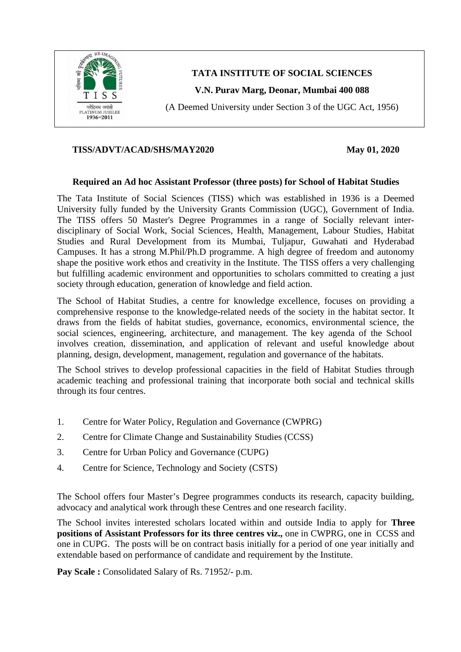

**TATA INSTITUTE OF SOCIAL SCIENCES**

**V.N. Purav Marg, Deonar, Mumbai 400 088**

(A Deemed University under Section 3 of the UGC Act, 1956)

#### **TISS/ADVT/ACAD/SHS/MAY2020 May 01, 2020**

#### **Required an Ad hoc Assistant Professor (three posts) for School of Habitat Studies**

The Tata Institute of Social Sciences (TISS) which was established in 1936 is a Deemed University fully funded by the University Grants Commission (UGC), Government of India. The TISS offers 50 Master's Degree Programmes in a range of Socially relevant interdisciplinary of Social Work, Social Sciences, Health, Management, Labour Studies, Habitat Studies and Rural Development from its Mumbai, Tuljapur, Guwahati and Hyderabad Campuses. It has a strong M.Phil/Ph.D programme. A high degree of freedom and autonomy shape the positive work ethos and creativity in the Institute. The TISS offers a very challenging but fulfilling academic environment and opportunities to scholars committed to creating a just society through education, generation of knowledge and field action.

The School of Habitat Studies, a centre for knowledge excellence, focuses on providing a comprehensive response to the knowledge-related needs of the society in the habitat sector. It draws from the fields of habitat studies, governance, economics, environmental science, the social sciences, engineering, architecture, and management. The key agenda of the School involves creation, dissemination, and application of relevant and useful knowledge about planning, design, development, management, regulation and governance of the habitats.

The School strives to develop professional capacities in the field of Habitat Studies through academic teaching and professional training that incorporate both social and technical skills through its four centres.

- 1. [Centre for Water Policy, Regulation and Governance](https://www.tiss.edu/view/6/mumbai-campus/school-of-habitat-studies-2/centre-for-water-policy-regulation-and-governance/about-5/) (CWPRG)
- 2. [Centre for Climate Change and Sustainability Studies](https://www.tiss.edu/view/6/mumbai-campus/school-of-habitat-studies-2/centre-for-climate-change/about-centre/) (CCSS)
- 3. [Centre for Urban Policy and Governance](https://www.tiss.edu/view/6/mumbai-campus/school-of-habitat-studies-2/centre-for-urban-policy-and-governance/about-6/) (CUPG)
- 4. [Centre for Science, Technology and Society](https://www.tiss.edu/centres/mumbai-campus/school-of-habitat-studies-2/) (CSTS)

The School offers four Master's Degree programmes conducts its research, capacity building, advocacy and analytical work through these Centres and one research facility.

The School invites interested scholars located within and outside India to apply for **Three positions of Assistant Professors for its three centres viz.,** one in CWPRG, one in CCSS and one in CUPG. The posts will be on contract basis initially for a period of one year initially and extendable based on performance of candidate and requirement by the Institute.

**Pay Scale :** Consolidated Salary of Rs. 71952/- p.m.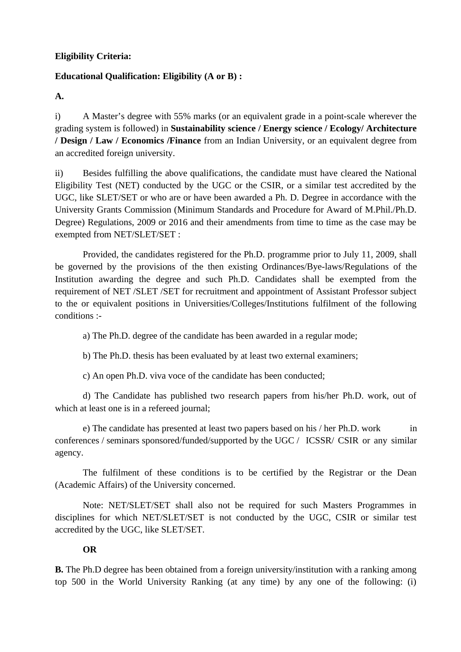## **Eligibility Criteria:**

# **Educational Qualification: Eligibility (A or B) :**

**A.**

i) A Master's degree with 55% marks (or an equivalent grade in a point-scale wherever the grading system is followed) in **Sustainability science / Energy science / Ecology/ Architecture / Design / Law / Economics /Finance** from an Indian University, or an equivalent degree from an accredited foreign university.

ii) Besides fulfilling the above qualifications, the candidate must have cleared the National Eligibility Test (NET) conducted by the UGC or the CSIR, or a similar test accredited by the UGC, like SLET/SET or who are or have been awarded a Ph. D. Degree in accordance with the University Grants Commission (Minimum Standards and Procedure for Award of M.Phil./Ph.D. Degree) Regulations, 2009 or 2016 and their amendments from time to time as the case may be exempted from NET/SLET/SET :

Provided, the candidates registered for the Ph.D. programme prior to July 11, 2009, shall be governed by the provisions of the then existing Ordinances/Bye-laws/Regulations of the Institution awarding the degree and such Ph.D. Candidates shall be exempted from the requirement of NET /SLET /SET for recruitment and appointment of Assistant Professor subject to the or equivalent positions in Universities/Colleges/Institutions fulfilment of the following conditions :-

a) The Ph.D. degree of the candidate has been awarded in a regular mode;

b) The Ph.D. thesis has been evaluated by at least two external examiners;

c) An open Ph.D. viva voce of the candidate has been conducted;

d) The Candidate has published two research papers from his/her Ph.D. work, out of which at least one is in a refereed journal;

e) The candidate has presented at least two papers based on his / her Ph.D. work in conferences / seminars sponsored/funded/supported by the UGC / ICSSR/ CSIR or any similar agency.

The fulfilment of these conditions is to be certified by the Registrar or the Dean (Academic Affairs) of the University concerned.

Note: NET/SLET/SET shall also not be required for such Masters Programmes in disciplines for which NET/SLET/SET is not conducted by the UGC, CSIR or similar test accredited by the UGC, like SLET/SET.

# **OR**

**B.** The Ph.D degree has been obtained from a foreign university/institution with a ranking among top 500 in the World University Ranking (at any time) by any one of the following: (i)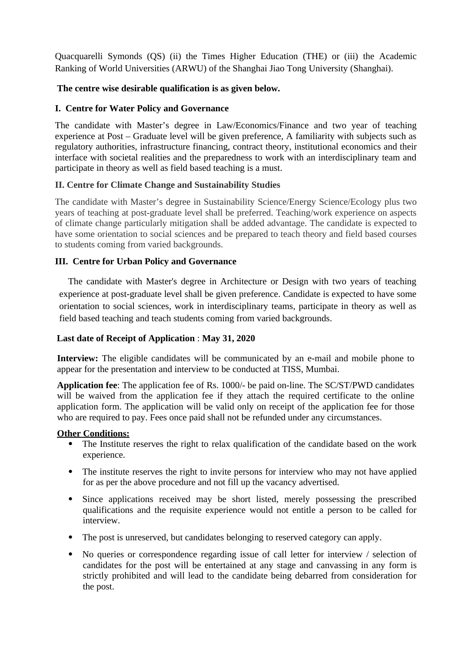Quacquarelli Symonds (QS) (ii) the Times Higher Education (THE) or (iii) the Academic Ranking of World Universities (ARWU) of the Shanghai Jiao Tong University (Shanghai).

## **The centre wise desirable qualification is as given below.**

#### **I. Centre for Water Policy and Governance**

The candidate with Master's degree in Law/Economics/Finance and two year of teaching experience at Post – Graduate level will be given preference, A familiarity with subjects such as regulatory authorities, infrastructure financing, contract theory, institutional economics and their interface with societal realities and the preparedness to work with an interdisciplinary team and participate in theory as well as field based teaching is a must.

## **II. Centre for Climate Change and Sustainability Studies**

The candidate with Master's degree in Sustainability Science/Energy Science/Ecology plus two years of teaching at post-graduate level shall be preferred. Teaching/work experience on aspects of climate change particularly mitigation shall be added advantage. The candidate is expected to have some orientation to social sciences and be prepared to teach theory and field based courses to students coming from varied backgrounds.

#### **III. Centre for Urban Policy and Governance**

 The candidate with Master's degree in Architecture or Design with two years of teaching experience at post-graduate level shall be given preference. Candidate is expected to have some orientation to social sciences, work in interdisciplinary teams, participate in theory as well as field based teaching and teach students coming from varied backgrounds.

#### **Last date of Receipt of Application** : **May 31, 2020**

**Interview:** The eligible candidates will be communicated by an e-mail and mobile phone to appear for the presentation and interview to be conducted at TISS, Mumbai.

**Application fee**: The application fee of Rs. 1000/- be paid on-line. The SC/ST/PWD candidates will be waived from the application fee if they attach the required certificate to the online application form. The application will be valid only on receipt of the application fee for those who are required to pay. Fees once paid shall not be refunded under any circumstances.

#### **Other Conditions:**

- The Institute reserves the right to relax qualification of the candidate based on the work experience.
- The institute reserves the right to invite persons for interview who may not have applied for as per the above procedure and not fill up the vacancy advertised.
- Since applications received may be short listed, merely possessing the prescribed qualifications and the requisite experience would not entitle a person to be called for interview.
- The post is unreserved, but candidates belonging to reserved category can apply.
- No queries or correspondence regarding issue of call letter for interview / selection of candidates for the post will be entertained at any stage and canvassing in any form is strictly prohibited and will lead to the candidate being debarred from consideration for the post.